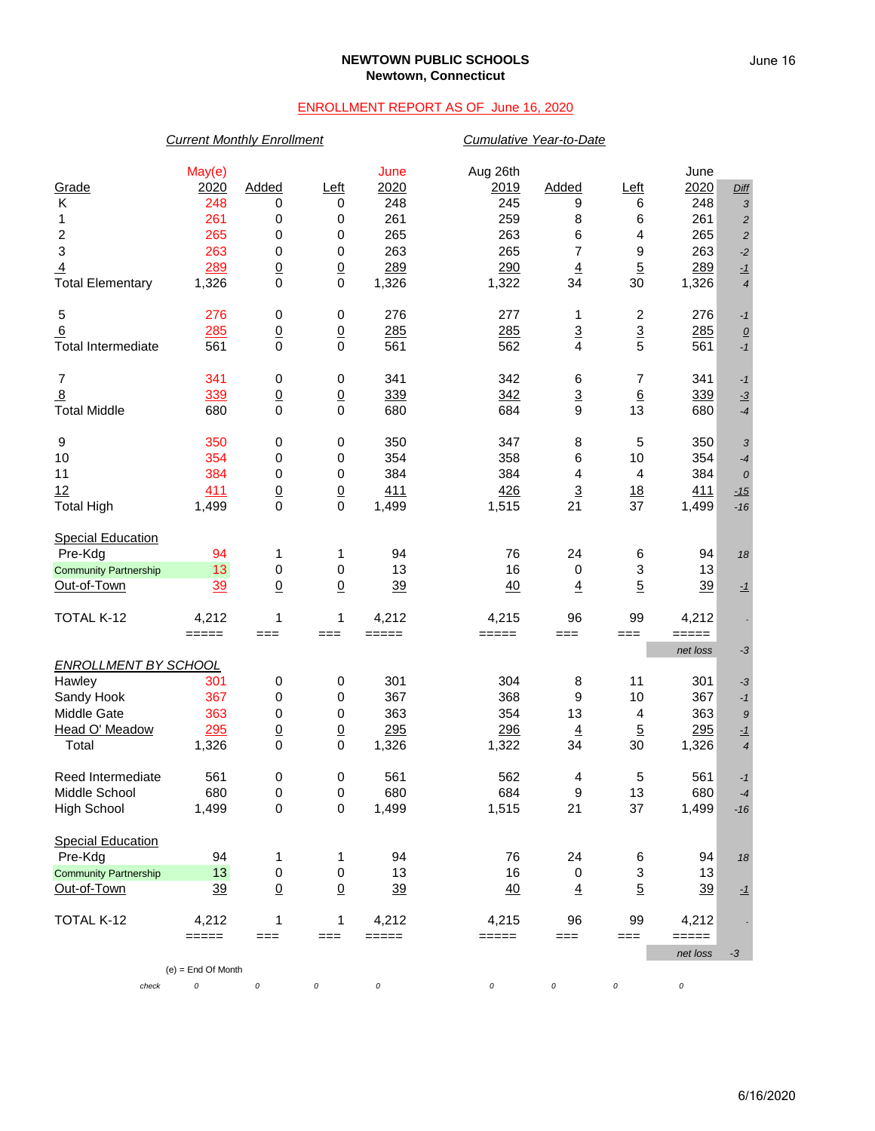### **NEWTOWN PUBLIC SCHOOLS Newtown, Connecticut**

## ENROLLMENT REPORT AS OF June 16, 2020

### *Current Monthly Enrollment Cumulative Year-to-Date*

| Grade<br>2020<br>Added<br>2020<br>2020<br>Left<br>2019<br><b>Added</b><br>Left<br>Diff<br>248<br>245<br>Κ<br>248<br>248<br>0<br>0<br>9<br>6<br>3<br>261<br>261<br>0<br>259<br>8<br>6<br>261<br>0<br>1<br>$\sqrt{2}$<br>$\overline{\mathbf{c}}$<br>265<br>265<br>263<br>6<br>265<br>0<br>0<br>4<br>$\sqrt{2}$<br>3<br>263<br>263<br>$\overline{7}$<br>263<br>0<br>0<br>265<br>9<br>$-2$<br>$\overline{5}$<br>289<br>$\underline{0}$<br>289<br>290<br>$\overline{4}$<br>289<br>$\overline{0}$<br>$\overline{4}$<br>$-1$<br>$\mathbf 0$<br>$\mathbf 0$<br>1,326<br>1,322<br><b>Total Elementary</b><br>1,326<br>34<br>30<br>1,326<br>$\overline{4}$<br>276<br>$\pmb{0}$<br>276<br>277<br>2<br>5<br>0<br>1<br>276<br>$-1$<br>$\overline{3}$<br>6<br>$\underline{0}$<br>$\overline{3}$<br>285<br>285<br>285<br>285<br>$\overline{0}$<br>$\underline{\mathit{O}}$<br>$\mathbf 0$<br>5<br>561<br>0<br>561<br>562<br>$\overline{4}$<br>561<br><b>Total Intermediate</b><br>$-1$<br>$\overline{7}$<br>341<br>$\pmb{0}$<br>341<br>342<br>6<br>7<br>341<br>0<br>$-1$<br>$\overline{8}$<br>$\overline{3}$<br>339<br>$\overline{0}$<br>339<br>$6\phantom{1}6$<br>339<br>$\underline{0}$<br>342<br>$-3$<br><b>Total Middle</b><br>680<br>0<br>$\mathbf 0$<br>680<br>$\boldsymbol{9}$<br>684<br>13<br>680<br>$-4$<br>9<br>350<br>0<br>0<br>350<br>347<br>8<br>5<br>350<br>3<br>354<br>10<br>354<br>0<br>358<br>6<br>10<br>354<br>0<br>$-4$<br>384<br>384<br>11<br>0<br>0<br>384<br>4<br>4<br>384<br>$\boldsymbol{0}$<br>426<br>12<br>411<br>$\underline{0}$<br>411<br>$\overline{3}$<br>$\overline{0}$<br>18<br>411<br>$-15$<br>$\mathbf 0$<br>$\mathbf 0$<br>37<br><b>Total High</b><br>1,499<br>1,499<br>1,515<br>21<br>1,499<br>$-16$<br><b>Special Education</b><br>Pre-Kdg<br>94<br>1<br>1<br>94<br>76<br>24<br>6<br>94<br>18<br>13<br>$\mathbf 0$<br>13<br>3<br>0<br>16<br>13<br>0<br><b>Community Partnership</b><br>5<br>Out-of-Town<br>39<br>$\underline{0}$<br>$\underline{0}$<br>39<br>40<br>39<br>$\overline{4}$<br>$-1$<br>TOTAL K-12<br>4,212<br>1<br>4,212<br>96<br>99<br>4,212<br>1<br>4,215<br>$=====$<br>$=====$<br>$==$<br>$==$<br>===<br>$=====$<br>=====<br>===<br>net loss<br>-3<br><b>ENROLLMENT BY SCHOOL</b><br>Hawley<br>301<br>0<br>$\boldsymbol{0}$<br>301<br>304<br>8<br>11<br>301<br>$-3$<br>367<br>Sandy Hook<br>367<br>0<br>368<br>9<br>10<br>367<br>0<br>$-1$<br>Middle Gate<br>363<br>363<br>0<br>0<br>354<br>13<br>363<br>4<br>9<br>Head O' Meadow<br>295<br>$\underline{0}$<br>295<br>296<br>$\overline{5}$<br>295<br>$\underline{0}$<br>$\overline{4}$<br>$-1$<br>1,326<br>0<br>0<br>1,326<br>1,322<br>30<br>1,326<br>Total<br>34<br>$\overline{4}$<br>Reed Intermediate<br>561<br>0<br>0<br>561<br>562<br>5<br>4<br>561<br>$-1$<br>0<br>0<br>13<br>Middle School<br>680<br>680<br>684<br>9<br>680<br>$-4$<br>$\pmb{0}$<br>21<br><b>High School</b><br>1,499<br>0<br>1,499<br>1,515<br>37<br>1,499<br>$-16$<br><b>Special Education</b><br>Pre-Kdg<br>94<br>76<br>24<br>94<br>94<br>1<br>1<br>6<br>18<br>13<br>0<br>16<br>$\ensuremath{\mathsf{3}}$<br>0<br>13<br>13<br><b>Community Partnership</b><br>$\pmb{0}$<br>$\overline{5}$<br>$\underline{0}$<br>Out-of-Town<br>39<br>$\underline{0}$<br>39<br>40<br>39<br>$\overline{4}$<br>$-1$<br>TOTAL K-12<br>4,212<br>1<br>1<br>4,212<br>4,215<br>96<br>99<br>4,212<br>$\qquad \qquad \displaystyle =\!=\!=\!=\!=\!=$<br>$=====$<br>$==$<br>$\qquad \qquad \equiv \equiv \equiv \equiv \equiv \equiv$<br>$=====$<br>$==$<br>$==$<br>$==$<br>net loss<br>$-3$<br>$(e) =$ End Of Month<br>0<br>$\cal O$<br>0<br>$\cal O$<br>0<br>0<br>0<br>check<br>0 | May(e) |  | June | Aug 26th |  | June |  |
|--------------------------------------------------------------------------------------------------------------------------------------------------------------------------------------------------------------------------------------------------------------------------------------------------------------------------------------------------------------------------------------------------------------------------------------------------------------------------------------------------------------------------------------------------------------------------------------------------------------------------------------------------------------------------------------------------------------------------------------------------------------------------------------------------------------------------------------------------------------------------------------------------------------------------------------------------------------------------------------------------------------------------------------------------------------------------------------------------------------------------------------------------------------------------------------------------------------------------------------------------------------------------------------------------------------------------------------------------------------------------------------------------------------------------------------------------------------------------------------------------------------------------------------------------------------------------------------------------------------------------------------------------------------------------------------------------------------------------------------------------------------------------------------------------------------------------------------------------------------------------------------------------------------------------------------------------------------------------------------------------------------------------------------------------------------------------------------------------------------------------------------------------------------------------------------------------------------------------------------------------------------------------------------------------------------------------------------------------------------------------------------------------------------------------------------------------------------------------------------------------------------------------------------------------------------------------------------------------------------------------------------------------------------------------------------------------------------------------------------------------------------------------------------------------------------------------------------------------------------------------------------------------------------------------------------------------------------------------------------------------------------------------------------------------------------------------------------------------------------------------------------------------------------------------------------------------------------------------------------------------------------------------------------------------------------------------------------------------------------------------------------------------------------------------------------------------------------------------------------------------------------------------------------------------------------------------------------------------------------------------|--------|--|------|----------|--|------|--|
|                                                                                                                                                                                                                                                                                                                                                                                                                                                                                                                                                                                                                                                                                                                                                                                                                                                                                                                                                                                                                                                                                                                                                                                                                                                                                                                                                                                                                                                                                                                                                                                                                                                                                                                                                                                                                                                                                                                                                                                                                                                                                                                                                                                                                                                                                                                                                                                                                                                                                                                                                                                                                                                                                                                                                                                                                                                                                                                                                                                                                                                                                                                                                                                                                                                                                                                                                                                                                                                                                                                                                                                                                          |        |  |      |          |  |      |  |
|                                                                                                                                                                                                                                                                                                                                                                                                                                                                                                                                                                                                                                                                                                                                                                                                                                                                                                                                                                                                                                                                                                                                                                                                                                                                                                                                                                                                                                                                                                                                                                                                                                                                                                                                                                                                                                                                                                                                                                                                                                                                                                                                                                                                                                                                                                                                                                                                                                                                                                                                                                                                                                                                                                                                                                                                                                                                                                                                                                                                                                                                                                                                                                                                                                                                                                                                                                                                                                                                                                                                                                                                                          |        |  |      |          |  |      |  |
|                                                                                                                                                                                                                                                                                                                                                                                                                                                                                                                                                                                                                                                                                                                                                                                                                                                                                                                                                                                                                                                                                                                                                                                                                                                                                                                                                                                                                                                                                                                                                                                                                                                                                                                                                                                                                                                                                                                                                                                                                                                                                                                                                                                                                                                                                                                                                                                                                                                                                                                                                                                                                                                                                                                                                                                                                                                                                                                                                                                                                                                                                                                                                                                                                                                                                                                                                                                                                                                                                                                                                                                                                          |        |  |      |          |  |      |  |
|                                                                                                                                                                                                                                                                                                                                                                                                                                                                                                                                                                                                                                                                                                                                                                                                                                                                                                                                                                                                                                                                                                                                                                                                                                                                                                                                                                                                                                                                                                                                                                                                                                                                                                                                                                                                                                                                                                                                                                                                                                                                                                                                                                                                                                                                                                                                                                                                                                                                                                                                                                                                                                                                                                                                                                                                                                                                                                                                                                                                                                                                                                                                                                                                                                                                                                                                                                                                                                                                                                                                                                                                                          |        |  |      |          |  |      |  |
|                                                                                                                                                                                                                                                                                                                                                                                                                                                                                                                                                                                                                                                                                                                                                                                                                                                                                                                                                                                                                                                                                                                                                                                                                                                                                                                                                                                                                                                                                                                                                                                                                                                                                                                                                                                                                                                                                                                                                                                                                                                                                                                                                                                                                                                                                                                                                                                                                                                                                                                                                                                                                                                                                                                                                                                                                                                                                                                                                                                                                                                                                                                                                                                                                                                                                                                                                                                                                                                                                                                                                                                                                          |        |  |      |          |  |      |  |
|                                                                                                                                                                                                                                                                                                                                                                                                                                                                                                                                                                                                                                                                                                                                                                                                                                                                                                                                                                                                                                                                                                                                                                                                                                                                                                                                                                                                                                                                                                                                                                                                                                                                                                                                                                                                                                                                                                                                                                                                                                                                                                                                                                                                                                                                                                                                                                                                                                                                                                                                                                                                                                                                                                                                                                                                                                                                                                                                                                                                                                                                                                                                                                                                                                                                                                                                                                                                                                                                                                                                                                                                                          |        |  |      |          |  |      |  |
|                                                                                                                                                                                                                                                                                                                                                                                                                                                                                                                                                                                                                                                                                                                                                                                                                                                                                                                                                                                                                                                                                                                                                                                                                                                                                                                                                                                                                                                                                                                                                                                                                                                                                                                                                                                                                                                                                                                                                                                                                                                                                                                                                                                                                                                                                                                                                                                                                                                                                                                                                                                                                                                                                                                                                                                                                                                                                                                                                                                                                                                                                                                                                                                                                                                                                                                                                                                                                                                                                                                                                                                                                          |        |  |      |          |  |      |  |
|                                                                                                                                                                                                                                                                                                                                                                                                                                                                                                                                                                                                                                                                                                                                                                                                                                                                                                                                                                                                                                                                                                                                                                                                                                                                                                                                                                                                                                                                                                                                                                                                                                                                                                                                                                                                                                                                                                                                                                                                                                                                                                                                                                                                                                                                                                                                                                                                                                                                                                                                                                                                                                                                                                                                                                                                                                                                                                                                                                                                                                                                                                                                                                                                                                                                                                                                                                                                                                                                                                                                                                                                                          |        |  |      |          |  |      |  |
|                                                                                                                                                                                                                                                                                                                                                                                                                                                                                                                                                                                                                                                                                                                                                                                                                                                                                                                                                                                                                                                                                                                                                                                                                                                                                                                                                                                                                                                                                                                                                                                                                                                                                                                                                                                                                                                                                                                                                                                                                                                                                                                                                                                                                                                                                                                                                                                                                                                                                                                                                                                                                                                                                                                                                                                                                                                                                                                                                                                                                                                                                                                                                                                                                                                                                                                                                                                                                                                                                                                                                                                                                          |        |  |      |          |  |      |  |
|                                                                                                                                                                                                                                                                                                                                                                                                                                                                                                                                                                                                                                                                                                                                                                                                                                                                                                                                                                                                                                                                                                                                                                                                                                                                                                                                                                                                                                                                                                                                                                                                                                                                                                                                                                                                                                                                                                                                                                                                                                                                                                                                                                                                                                                                                                                                                                                                                                                                                                                                                                                                                                                                                                                                                                                                                                                                                                                                                                                                                                                                                                                                                                                                                                                                                                                                                                                                                                                                                                                                                                                                                          |        |  |      |          |  |      |  |
|                                                                                                                                                                                                                                                                                                                                                                                                                                                                                                                                                                                                                                                                                                                                                                                                                                                                                                                                                                                                                                                                                                                                                                                                                                                                                                                                                                                                                                                                                                                                                                                                                                                                                                                                                                                                                                                                                                                                                                                                                                                                                                                                                                                                                                                                                                                                                                                                                                                                                                                                                                                                                                                                                                                                                                                                                                                                                                                                                                                                                                                                                                                                                                                                                                                                                                                                                                                                                                                                                                                                                                                                                          |        |  |      |          |  |      |  |
|                                                                                                                                                                                                                                                                                                                                                                                                                                                                                                                                                                                                                                                                                                                                                                                                                                                                                                                                                                                                                                                                                                                                                                                                                                                                                                                                                                                                                                                                                                                                                                                                                                                                                                                                                                                                                                                                                                                                                                                                                                                                                                                                                                                                                                                                                                                                                                                                                                                                                                                                                                                                                                                                                                                                                                                                                                                                                                                                                                                                                                                                                                                                                                                                                                                                                                                                                                                                                                                                                                                                                                                                                          |        |  |      |          |  |      |  |
|                                                                                                                                                                                                                                                                                                                                                                                                                                                                                                                                                                                                                                                                                                                                                                                                                                                                                                                                                                                                                                                                                                                                                                                                                                                                                                                                                                                                                                                                                                                                                                                                                                                                                                                                                                                                                                                                                                                                                                                                                                                                                                                                                                                                                                                                                                                                                                                                                                                                                                                                                                                                                                                                                                                                                                                                                                                                                                                                                                                                                                                                                                                                                                                                                                                                                                                                                                                                                                                                                                                                                                                                                          |        |  |      |          |  |      |  |
|                                                                                                                                                                                                                                                                                                                                                                                                                                                                                                                                                                                                                                                                                                                                                                                                                                                                                                                                                                                                                                                                                                                                                                                                                                                                                                                                                                                                                                                                                                                                                                                                                                                                                                                                                                                                                                                                                                                                                                                                                                                                                                                                                                                                                                                                                                                                                                                                                                                                                                                                                                                                                                                                                                                                                                                                                                                                                                                                                                                                                                                                                                                                                                                                                                                                                                                                                                                                                                                                                                                                                                                                                          |        |  |      |          |  |      |  |
|                                                                                                                                                                                                                                                                                                                                                                                                                                                                                                                                                                                                                                                                                                                                                                                                                                                                                                                                                                                                                                                                                                                                                                                                                                                                                                                                                                                                                                                                                                                                                                                                                                                                                                                                                                                                                                                                                                                                                                                                                                                                                                                                                                                                                                                                                                                                                                                                                                                                                                                                                                                                                                                                                                                                                                                                                                                                                                                                                                                                                                                                                                                                                                                                                                                                                                                                                                                                                                                                                                                                                                                                                          |        |  |      |          |  |      |  |
|                                                                                                                                                                                                                                                                                                                                                                                                                                                                                                                                                                                                                                                                                                                                                                                                                                                                                                                                                                                                                                                                                                                                                                                                                                                                                                                                                                                                                                                                                                                                                                                                                                                                                                                                                                                                                                                                                                                                                                                                                                                                                                                                                                                                                                                                                                                                                                                                                                                                                                                                                                                                                                                                                                                                                                                                                                                                                                                                                                                                                                                                                                                                                                                                                                                                                                                                                                                                                                                                                                                                                                                                                          |        |  |      |          |  |      |  |
|                                                                                                                                                                                                                                                                                                                                                                                                                                                                                                                                                                                                                                                                                                                                                                                                                                                                                                                                                                                                                                                                                                                                                                                                                                                                                                                                                                                                                                                                                                                                                                                                                                                                                                                                                                                                                                                                                                                                                                                                                                                                                                                                                                                                                                                                                                                                                                                                                                                                                                                                                                                                                                                                                                                                                                                                                                                                                                                                                                                                                                                                                                                                                                                                                                                                                                                                                                                                                                                                                                                                                                                                                          |        |  |      |          |  |      |  |
|                                                                                                                                                                                                                                                                                                                                                                                                                                                                                                                                                                                                                                                                                                                                                                                                                                                                                                                                                                                                                                                                                                                                                                                                                                                                                                                                                                                                                                                                                                                                                                                                                                                                                                                                                                                                                                                                                                                                                                                                                                                                                                                                                                                                                                                                                                                                                                                                                                                                                                                                                                                                                                                                                                                                                                                                                                                                                                                                                                                                                                                                                                                                                                                                                                                                                                                                                                                                                                                                                                                                                                                                                          |        |  |      |          |  |      |  |
|                                                                                                                                                                                                                                                                                                                                                                                                                                                                                                                                                                                                                                                                                                                                                                                                                                                                                                                                                                                                                                                                                                                                                                                                                                                                                                                                                                                                                                                                                                                                                                                                                                                                                                                                                                                                                                                                                                                                                                                                                                                                                                                                                                                                                                                                                                                                                                                                                                                                                                                                                                                                                                                                                                                                                                                                                                                                                                                                                                                                                                                                                                                                                                                                                                                                                                                                                                                                                                                                                                                                                                                                                          |        |  |      |          |  |      |  |
|                                                                                                                                                                                                                                                                                                                                                                                                                                                                                                                                                                                                                                                                                                                                                                                                                                                                                                                                                                                                                                                                                                                                                                                                                                                                                                                                                                                                                                                                                                                                                                                                                                                                                                                                                                                                                                                                                                                                                                                                                                                                                                                                                                                                                                                                                                                                                                                                                                                                                                                                                                                                                                                                                                                                                                                                                                                                                                                                                                                                                                                                                                                                                                                                                                                                                                                                                                                                                                                                                                                                                                                                                          |        |  |      |          |  |      |  |
|                                                                                                                                                                                                                                                                                                                                                                                                                                                                                                                                                                                                                                                                                                                                                                                                                                                                                                                                                                                                                                                                                                                                                                                                                                                                                                                                                                                                                                                                                                                                                                                                                                                                                                                                                                                                                                                                                                                                                                                                                                                                                                                                                                                                                                                                                                                                                                                                                                                                                                                                                                                                                                                                                                                                                                                                                                                                                                                                                                                                                                                                                                                                                                                                                                                                                                                                                                                                                                                                                                                                                                                                                          |        |  |      |          |  |      |  |
|                                                                                                                                                                                                                                                                                                                                                                                                                                                                                                                                                                                                                                                                                                                                                                                                                                                                                                                                                                                                                                                                                                                                                                                                                                                                                                                                                                                                                                                                                                                                                                                                                                                                                                                                                                                                                                                                                                                                                                                                                                                                                                                                                                                                                                                                                                                                                                                                                                                                                                                                                                                                                                                                                                                                                                                                                                                                                                                                                                                                                                                                                                                                                                                                                                                                                                                                                                                                                                                                                                                                                                                                                          |        |  |      |          |  |      |  |
|                                                                                                                                                                                                                                                                                                                                                                                                                                                                                                                                                                                                                                                                                                                                                                                                                                                                                                                                                                                                                                                                                                                                                                                                                                                                                                                                                                                                                                                                                                                                                                                                                                                                                                                                                                                                                                                                                                                                                                                                                                                                                                                                                                                                                                                                                                                                                                                                                                                                                                                                                                                                                                                                                                                                                                                                                                                                                                                                                                                                                                                                                                                                                                                                                                                                                                                                                                                                                                                                                                                                                                                                                          |        |  |      |          |  |      |  |
|                                                                                                                                                                                                                                                                                                                                                                                                                                                                                                                                                                                                                                                                                                                                                                                                                                                                                                                                                                                                                                                                                                                                                                                                                                                                                                                                                                                                                                                                                                                                                                                                                                                                                                                                                                                                                                                                                                                                                                                                                                                                                                                                                                                                                                                                                                                                                                                                                                                                                                                                                                                                                                                                                                                                                                                                                                                                                                                                                                                                                                                                                                                                                                                                                                                                                                                                                                                                                                                                                                                                                                                                                          |        |  |      |          |  |      |  |
|                                                                                                                                                                                                                                                                                                                                                                                                                                                                                                                                                                                                                                                                                                                                                                                                                                                                                                                                                                                                                                                                                                                                                                                                                                                                                                                                                                                                                                                                                                                                                                                                                                                                                                                                                                                                                                                                                                                                                                                                                                                                                                                                                                                                                                                                                                                                                                                                                                                                                                                                                                                                                                                                                                                                                                                                                                                                                                                                                                                                                                                                                                                                                                                                                                                                                                                                                                                                                                                                                                                                                                                                                          |        |  |      |          |  |      |  |
|                                                                                                                                                                                                                                                                                                                                                                                                                                                                                                                                                                                                                                                                                                                                                                                                                                                                                                                                                                                                                                                                                                                                                                                                                                                                                                                                                                                                                                                                                                                                                                                                                                                                                                                                                                                                                                                                                                                                                                                                                                                                                                                                                                                                                                                                                                                                                                                                                                                                                                                                                                                                                                                                                                                                                                                                                                                                                                                                                                                                                                                                                                                                                                                                                                                                                                                                                                                                                                                                                                                                                                                                                          |        |  |      |          |  |      |  |
|                                                                                                                                                                                                                                                                                                                                                                                                                                                                                                                                                                                                                                                                                                                                                                                                                                                                                                                                                                                                                                                                                                                                                                                                                                                                                                                                                                                                                                                                                                                                                                                                                                                                                                                                                                                                                                                                                                                                                                                                                                                                                                                                                                                                                                                                                                                                                                                                                                                                                                                                                                                                                                                                                                                                                                                                                                                                                                                                                                                                                                                                                                                                                                                                                                                                                                                                                                                                                                                                                                                                                                                                                          |        |  |      |          |  |      |  |
|                                                                                                                                                                                                                                                                                                                                                                                                                                                                                                                                                                                                                                                                                                                                                                                                                                                                                                                                                                                                                                                                                                                                                                                                                                                                                                                                                                                                                                                                                                                                                                                                                                                                                                                                                                                                                                                                                                                                                                                                                                                                                                                                                                                                                                                                                                                                                                                                                                                                                                                                                                                                                                                                                                                                                                                                                                                                                                                                                                                                                                                                                                                                                                                                                                                                                                                                                                                                                                                                                                                                                                                                                          |        |  |      |          |  |      |  |
|                                                                                                                                                                                                                                                                                                                                                                                                                                                                                                                                                                                                                                                                                                                                                                                                                                                                                                                                                                                                                                                                                                                                                                                                                                                                                                                                                                                                                                                                                                                                                                                                                                                                                                                                                                                                                                                                                                                                                                                                                                                                                                                                                                                                                                                                                                                                                                                                                                                                                                                                                                                                                                                                                                                                                                                                                                                                                                                                                                                                                                                                                                                                                                                                                                                                                                                                                                                                                                                                                                                                                                                                                          |        |  |      |          |  |      |  |
|                                                                                                                                                                                                                                                                                                                                                                                                                                                                                                                                                                                                                                                                                                                                                                                                                                                                                                                                                                                                                                                                                                                                                                                                                                                                                                                                                                                                                                                                                                                                                                                                                                                                                                                                                                                                                                                                                                                                                                                                                                                                                                                                                                                                                                                                                                                                                                                                                                                                                                                                                                                                                                                                                                                                                                                                                                                                                                                                                                                                                                                                                                                                                                                                                                                                                                                                                                                                                                                                                                                                                                                                                          |        |  |      |          |  |      |  |
|                                                                                                                                                                                                                                                                                                                                                                                                                                                                                                                                                                                                                                                                                                                                                                                                                                                                                                                                                                                                                                                                                                                                                                                                                                                                                                                                                                                                                                                                                                                                                                                                                                                                                                                                                                                                                                                                                                                                                                                                                                                                                                                                                                                                                                                                                                                                                                                                                                                                                                                                                                                                                                                                                                                                                                                                                                                                                                                                                                                                                                                                                                                                                                                                                                                                                                                                                                                                                                                                                                                                                                                                                          |        |  |      |          |  |      |  |
|                                                                                                                                                                                                                                                                                                                                                                                                                                                                                                                                                                                                                                                                                                                                                                                                                                                                                                                                                                                                                                                                                                                                                                                                                                                                                                                                                                                                                                                                                                                                                                                                                                                                                                                                                                                                                                                                                                                                                                                                                                                                                                                                                                                                                                                                                                                                                                                                                                                                                                                                                                                                                                                                                                                                                                                                                                                                                                                                                                                                                                                                                                                                                                                                                                                                                                                                                                                                                                                                                                                                                                                                                          |        |  |      |          |  |      |  |
|                                                                                                                                                                                                                                                                                                                                                                                                                                                                                                                                                                                                                                                                                                                                                                                                                                                                                                                                                                                                                                                                                                                                                                                                                                                                                                                                                                                                                                                                                                                                                                                                                                                                                                                                                                                                                                                                                                                                                                                                                                                                                                                                                                                                                                                                                                                                                                                                                                                                                                                                                                                                                                                                                                                                                                                                                                                                                                                                                                                                                                                                                                                                                                                                                                                                                                                                                                                                                                                                                                                                                                                                                          |        |  |      |          |  |      |  |
|                                                                                                                                                                                                                                                                                                                                                                                                                                                                                                                                                                                                                                                                                                                                                                                                                                                                                                                                                                                                                                                                                                                                                                                                                                                                                                                                                                                                                                                                                                                                                                                                                                                                                                                                                                                                                                                                                                                                                                                                                                                                                                                                                                                                                                                                                                                                                                                                                                                                                                                                                                                                                                                                                                                                                                                                                                                                                                                                                                                                                                                                                                                                                                                                                                                                                                                                                                                                                                                                                                                                                                                                                          |        |  |      |          |  |      |  |
|                                                                                                                                                                                                                                                                                                                                                                                                                                                                                                                                                                                                                                                                                                                                                                                                                                                                                                                                                                                                                                                                                                                                                                                                                                                                                                                                                                                                                                                                                                                                                                                                                                                                                                                                                                                                                                                                                                                                                                                                                                                                                                                                                                                                                                                                                                                                                                                                                                                                                                                                                                                                                                                                                                                                                                                                                                                                                                                                                                                                                                                                                                                                                                                                                                                                                                                                                                                                                                                                                                                                                                                                                          |        |  |      |          |  |      |  |
|                                                                                                                                                                                                                                                                                                                                                                                                                                                                                                                                                                                                                                                                                                                                                                                                                                                                                                                                                                                                                                                                                                                                                                                                                                                                                                                                                                                                                                                                                                                                                                                                                                                                                                                                                                                                                                                                                                                                                                                                                                                                                                                                                                                                                                                                                                                                                                                                                                                                                                                                                                                                                                                                                                                                                                                                                                                                                                                                                                                                                                                                                                                                                                                                                                                                                                                                                                                                                                                                                                                                                                                                                          |        |  |      |          |  |      |  |
|                                                                                                                                                                                                                                                                                                                                                                                                                                                                                                                                                                                                                                                                                                                                                                                                                                                                                                                                                                                                                                                                                                                                                                                                                                                                                                                                                                                                                                                                                                                                                                                                                                                                                                                                                                                                                                                                                                                                                                                                                                                                                                                                                                                                                                                                                                                                                                                                                                                                                                                                                                                                                                                                                                                                                                                                                                                                                                                                                                                                                                                                                                                                                                                                                                                                                                                                                                                                                                                                                                                                                                                                                          |        |  |      |          |  |      |  |
|                                                                                                                                                                                                                                                                                                                                                                                                                                                                                                                                                                                                                                                                                                                                                                                                                                                                                                                                                                                                                                                                                                                                                                                                                                                                                                                                                                                                                                                                                                                                                                                                                                                                                                                                                                                                                                                                                                                                                                                                                                                                                                                                                                                                                                                                                                                                                                                                                                                                                                                                                                                                                                                                                                                                                                                                                                                                                                                                                                                                                                                                                                                                                                                                                                                                                                                                                                                                                                                                                                                                                                                                                          |        |  |      |          |  |      |  |
|                                                                                                                                                                                                                                                                                                                                                                                                                                                                                                                                                                                                                                                                                                                                                                                                                                                                                                                                                                                                                                                                                                                                                                                                                                                                                                                                                                                                                                                                                                                                                                                                                                                                                                                                                                                                                                                                                                                                                                                                                                                                                                                                                                                                                                                                                                                                                                                                                                                                                                                                                                                                                                                                                                                                                                                                                                                                                                                                                                                                                                                                                                                                                                                                                                                                                                                                                                                                                                                                                                                                                                                                                          |        |  |      |          |  |      |  |
|                                                                                                                                                                                                                                                                                                                                                                                                                                                                                                                                                                                                                                                                                                                                                                                                                                                                                                                                                                                                                                                                                                                                                                                                                                                                                                                                                                                                                                                                                                                                                                                                                                                                                                                                                                                                                                                                                                                                                                                                                                                                                                                                                                                                                                                                                                                                                                                                                                                                                                                                                                                                                                                                                                                                                                                                                                                                                                                                                                                                                                                                                                                                                                                                                                                                                                                                                                                                                                                                                                                                                                                                                          |        |  |      |          |  |      |  |
|                                                                                                                                                                                                                                                                                                                                                                                                                                                                                                                                                                                                                                                                                                                                                                                                                                                                                                                                                                                                                                                                                                                                                                                                                                                                                                                                                                                                                                                                                                                                                                                                                                                                                                                                                                                                                                                                                                                                                                                                                                                                                                                                                                                                                                                                                                                                                                                                                                                                                                                                                                                                                                                                                                                                                                                                                                                                                                                                                                                                                                                                                                                                                                                                                                                                                                                                                                                                                                                                                                                                                                                                                          |        |  |      |          |  |      |  |
|                                                                                                                                                                                                                                                                                                                                                                                                                                                                                                                                                                                                                                                                                                                                                                                                                                                                                                                                                                                                                                                                                                                                                                                                                                                                                                                                                                                                                                                                                                                                                                                                                                                                                                                                                                                                                                                                                                                                                                                                                                                                                                                                                                                                                                                                                                                                                                                                                                                                                                                                                                                                                                                                                                                                                                                                                                                                                                                                                                                                                                                                                                                                                                                                                                                                                                                                                                                                                                                                                                                                                                                                                          |        |  |      |          |  |      |  |
|                                                                                                                                                                                                                                                                                                                                                                                                                                                                                                                                                                                                                                                                                                                                                                                                                                                                                                                                                                                                                                                                                                                                                                                                                                                                                                                                                                                                                                                                                                                                                                                                                                                                                                                                                                                                                                                                                                                                                                                                                                                                                                                                                                                                                                                                                                                                                                                                                                                                                                                                                                                                                                                                                                                                                                                                                                                                                                                                                                                                                                                                                                                                                                                                                                                                                                                                                                                                                                                                                                                                                                                                                          |        |  |      |          |  |      |  |
|                                                                                                                                                                                                                                                                                                                                                                                                                                                                                                                                                                                                                                                                                                                                                                                                                                                                                                                                                                                                                                                                                                                                                                                                                                                                                                                                                                                                                                                                                                                                                                                                                                                                                                                                                                                                                                                                                                                                                                                                                                                                                                                                                                                                                                                                                                                                                                                                                                                                                                                                                                                                                                                                                                                                                                                                                                                                                                                                                                                                                                                                                                                                                                                                                                                                                                                                                                                                                                                                                                                                                                                                                          |        |  |      |          |  |      |  |